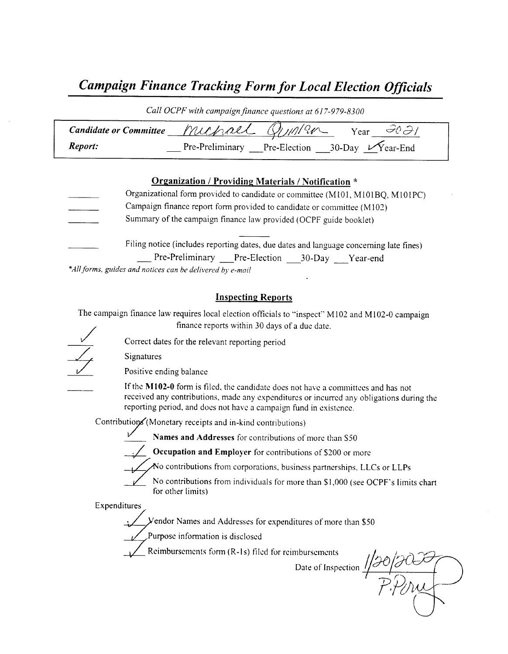# Campaign Finance Tracking Form for Local Election Officials

Call OCPF with campaign finance questions at 617-979-8300

| <b>Candidate or Committee</b> | michael Quinter              | $v_{\text{ear}}$                   |  |
|-------------------------------|------------------------------|------------------------------------|--|
| Report:                       | Pre-Preliminary Pre-Election | $30$ -Day $\sqrt{\text{Year-End}}$ |  |

### Organization / Providing Materials/ Notification \*

Organizational form provided to candidate or committee (M101, M101BQ, M101PC) Campaign finance report form provided to candidate or committee ( M102) Summary of the campaign finance law provided( OCPF guide booklet)

Filing notice (includes reporting dates, due dates and language concerning late fines) Pre-Preliminary Pre-Election 30-Day Year-end \*All forms, guides and notices can be delivered by e-mail

### Inspecting Reports

The campaign finance law requires local election officials to "inspect" M102 and M102-0 campaign finance reports within 30 days of <sup>a</sup> due date.

Correct dates for the relevant reporting period

Signatures



Positive ending balance

If the M102-0 form is filed, the candidate does not have a committees and has not received any contributions, made any expenditures or incurred any obligations during the reporting period, and does not have a campaign fund in existence.

Contributions (Monetary receipts and in-kind contributions)

Names and Addresses for contributions of more than S50

Occupation and Employer for contributions of \$200 or more



 $\lambda$ No contributions from corporations, business partnerships, LLCs or LLPs<br>No contributions from individuals for more than \$1,000 (see OCPF's limits chart

for other limits)

Expenditures

yendor Names and Addresses for expenditures of more than\$ <sup>50</sup>

Purpose information is disclosed

Reimbursements form  $(R - 1s)$  filed for reimbursements

Date of Inspection  $\frac{1}{2}$ 

Bojne<br>PPmy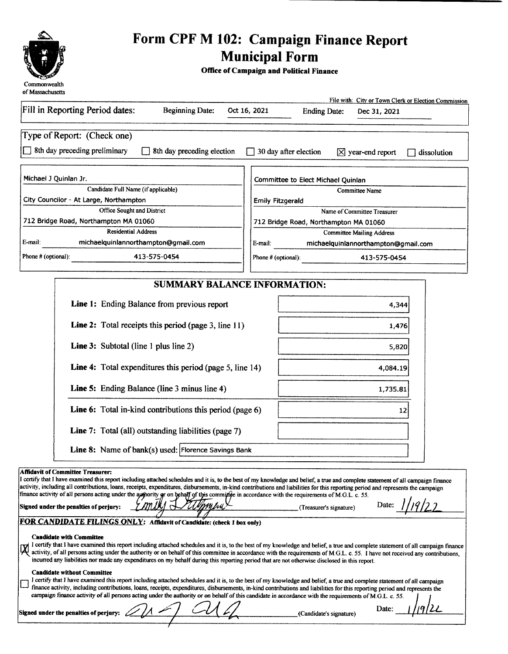

# Form CPF M 102: Campaign Finance Report **Municipal Form**

Office of Campaign and Political Finance

|                                        |                            |                                     |                                       |                                       |                                     | File with: City or Town Clerk or Election Commission |
|----------------------------------------|----------------------------|-------------------------------------|---------------------------------------|---------------------------------------|-------------------------------------|------------------------------------------------------|
| Fill in Reporting Period dates:        |                            | <b>Beginning Date:</b>              | Oct 16, 2021                          | <b>Ending Date:</b>                   | Dec 31, 2021                        |                                                      |
| Type of Report: (Check one)            |                            |                                     |                                       |                                       |                                     |                                                      |
| 8th day preceding preliminary          |                            | 8th day preceding election          | 30 day after election<br>$\mathbf{1}$ |                                       | $[X]$ year-end report               | dissolution                                          |
|                                        |                            |                                     |                                       |                                       |                                     |                                                      |
| Michael J Quinlan Jr.                  |                            |                                     |                                       | Committee to Elect Michael Quinlan    |                                     |                                                      |
| Candidate Full Name (if applicable)    |                            | <b>Committee Name</b>               |                                       |                                       |                                     |                                                      |
| City Councilor - At Large, Northampton |                            |                                     | <b>Emily Fitzgerald</b>               |                                       |                                     |                                                      |
|                                        | Office Sought and District |                                     |                                       |                                       | Name of Committee Treasurer         |                                                      |
| 712 Bridge Road, Northampton MA 01060  |                            |                                     |                                       | 712 Bridge Road, Northampton MA 01060 |                                     |                                                      |
|                                        | <b>Residential Address</b> |                                     |                                       |                                       | <b>Committee Mailing Address</b>    |                                                      |
| E-mail:                                |                            | michaelquinlannorthampton@gmail.com | E-mail:                               |                                       | michaelquinlannorthampton@qmail.com |                                                      |
| Phone # (optional):                    |                            | 413-575-0454                        | Phone # (optional):                   |                                       | 413-575-0454                        |                                                      |

| <b>SUMMARY BALANCE INFORMATION:</b>                             |          |
|-----------------------------------------------------------------|----------|
| <b>Line 1:</b> Ending Balance from previous report              | 4,344    |
| <b>Line 2:</b> Total receipts this period (page 3, line 11)     | 1,476    |
| <b>Line 3:</b> Subtotal (line 1 plus line 2)                    | 5,820    |
| Line 4: Total expenditures this period (page 5, line 14)        | 4,084.19 |
| Line 5: Ending Balance (line 3 minus line 4)                    | 1,735.81 |
| <b>Line 6:</b> Total in-kind contributions this period (page 6) | 12       |
| Line 7: Total (all) outstanding liabilities (page 7)            |          |
| Line 8: Name of bank(s) used: Florence Savings Bank             |          |

Affidavit of Committee Treasurer.

I certify that I have examined this report including attached schedules and it is, to the best of my knowledge and belief, <sup>a</sup> true and complete statement of all campaign finance activity, including all contributions, loans, receipts, expenditures, disbursements, in-kind contributions and liabilities for this reporting period and represents the campaign finance activity of all persons acting under the authority or on behalf of this committee in accordance with the requirements of M.G.L. c. 55.<br>Signed under the penalties of periury:<br> $TMIM$   $M$   $M$   $M$   $M$   $M$   $M$   $M$   $M$   $M$ Signed under the penalties of perjury:  $\frac{1}{2}$  MUM  $\frac{1}{2}$  Umphilait external contrast (Treasurer's signature) Date:

### FOR CANDIDATE FILINGS ONLY: Affidavit of Candidate: (check 1 box only)

#### Candidate with Committee

 $\mathbf{Z}$  I certify that I have examined this report including attached schedules and it is, to the best of my knowledge and belief, a true and complete statement of all campaign finance activity of all carpaign finance activity, of all persons acting under the authority or on behalf of this committee in accordance with the requirements of M.G.L. c. 55. I have not received any contributions, incurred any liabilities nor made any expenditures on my behalf during this reporting period that are not otherwise disclosed in this report.

#### Candidate without Committee

I certify that I have examined this report including attached schedules and it is, to the best of my knowledge and belief, a true and complete statement of all campaign ∐ finance activity, including contributions, loans, receipts, expenditures, disbursements, in- kind contributions and liabilities for this reporting period and represents the campaign finance activity of all persons acting under the authority or on behalf of this candidate in accordance with the requirements of M.G.L. c. 55.

| <sup>{</sup> Signed under the penalties of perjury: $\mathbb{Z}/\Lambda$ - |  |  |
|----------------------------------------------------------------------------|--|--|
|----------------------------------------------------------------------------|--|--|

(Candidate's signature)

Date:  $1/19/2$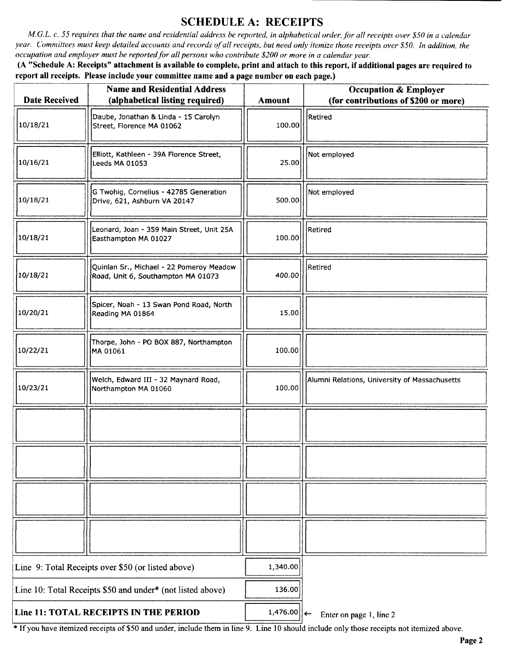### SCHEDULE A: RECEIPTS

M.G.L. c. 55 requires that the name and residential address be reported, in alphabetical order, for all receipts over \$50 in a calendar year. Committees must keep detailed accounts and records of all receipts, but need only itemize those receipts over \$50. In addition, the occupation and employer must be reported for all persons who contribute \$200 or more in a calendar year.

A " Schedule A: Receipts" attachment is available to complete, print and attach to this report, if additional pages are required to report all receipts. Please include your committee name and a page number on each page.)

| <b>Date Received</b> | <b>Name and Residential Address</b><br>(alphabetical listing required)         | Amount   | <b>Occupation &amp; Employer</b><br>(for contributions of \$200 or more) |
|----------------------|--------------------------------------------------------------------------------|----------|--------------------------------------------------------------------------|
| 10/18/21             | Daube, Jonathan & Linda - 15 Carolyn<br>Street, Florence MA 01062              | 100.00   | Retired                                                                  |
| 10/16/21             | Elliott, Kathleen - 39A Florence Street,<br>Leeds MA 01053                     | 25.00    | Not employed                                                             |
| 10/18/21             | G Twohig, Cornelius - 42785 Generation<br>Drive, 621, Ashburn VA 20147         | 500.00   | Not employed                                                             |
| 10/18/21             | Leonard, Joan - 359 Main Street, Unit 25A<br>Easthampton MA 01027              | 100.00   | Retired                                                                  |
| 10/18/21             | Quinlan Sr., Michael - 22 Pomeroy Meadow<br>Road, Unit 6, Southampton MA 01073 | 400.00   | Retired                                                                  |
| 10/20/21             | Spicer, Noah - 13 Swan Pond Road, North<br>Reading MA 01864                    | 15.00    |                                                                          |
| 10/22/21             | Thorpe, John - PO BOX 887, Northampton<br>MA 01061                             | 100.00   |                                                                          |
| 10/23/21             | Welch, Edward III - 32 Maynard Road,<br>Northampton MA 01060                   | 100.00   | Alumni Relations, University of Massachusetts                            |
|                      |                                                                                |          |                                                                          |
|                      |                                                                                |          |                                                                          |
|                      |                                                                                |          |                                                                          |
|                      |                                                                                |          |                                                                          |
|                      | Line 9: Total Receipts over \$50 (or listed above)                             | 1,340.00 |                                                                          |
|                      | Line 10: Total Receipts \$50 and under* (not listed above)                     | 136.00   |                                                                          |
|                      | Line 11: TOTAL RECEIPTS IN THE PERIOD                                          | 1,476.00 | ١←<br>Enter on page 1, line 2                                            |

If you have itemized receipts of\$50 and under, include them in line 9. Line <sup>10</sup> should include only those receipts not itemized above.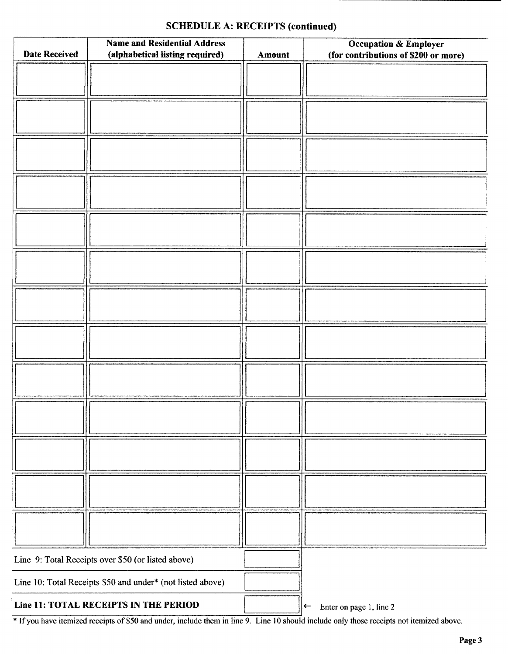### SCHEDULE A: RECEIPTS (continued)

| <b>Date Received</b> | <b>Name and Residential Address</b><br>(alphabetical listing required) | Amount | <b>Occupation &amp; Employer</b><br>(for contributions of \$200 or more) |
|----------------------|------------------------------------------------------------------------|--------|--------------------------------------------------------------------------|
|                      |                                                                        |        |                                                                          |
|                      |                                                                        |        |                                                                          |
|                      |                                                                        |        |                                                                          |
|                      |                                                                        |        |                                                                          |
|                      |                                                                        |        |                                                                          |
|                      |                                                                        |        |                                                                          |
|                      |                                                                        |        |                                                                          |
|                      |                                                                        |        |                                                                          |
|                      |                                                                        |        |                                                                          |
|                      |                                                                        |        |                                                                          |
|                      |                                                                        |        |                                                                          |
|                      |                                                                        |        |                                                                          |
|                      |                                                                        |        |                                                                          |
|                      |                                                                        |        |                                                                          |
|                      |                                                                        |        |                                                                          |
|                      |                                                                        |        |                                                                          |
|                      |                                                                        |        |                                                                          |
|                      |                                                                        |        |                                                                          |
|                      |                                                                        |        |                                                                          |
|                      |                                                                        |        |                                                                          |
|                      |                                                                        |        |                                                                          |
|                      |                                                                        |        |                                                                          |
|                      |                                                                        |        |                                                                          |
|                      |                                                                        |        |                                                                          |
|                      |                                                                        |        |                                                                          |
|                      |                                                                        |        |                                                                          |
|                      | Line 9: Total Receipts over \$50 (or listed above)                     |        |                                                                          |
|                      | Line 10: Total Receipts \$50 and under* (not listed above)             |        |                                                                          |
|                      | Line 11: TOTAL RECEIPTS IN THE PERIOD                                  |        | Enter on page 1, line 2<br>$\leftarrow$                                  |

<sup>\*</sup> If you have itemized receipts of \$50 and under, include them in line 9. Line 10 should include only those receipts not itemized above.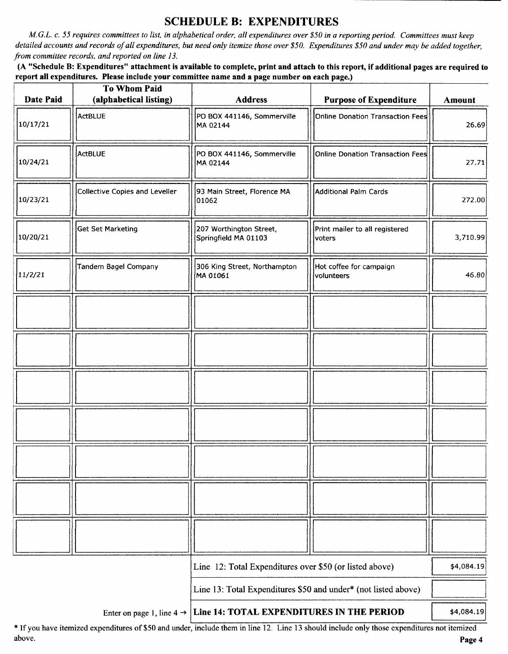## SCHEDULE B: EXPENDITURES

M.G.L. c. 55 requires committees to list, in alphabetical order, all expenditures over\$ 50 in a reporting period. Committees must keep detailed accounts and records of all expenditures, but need only itemize those over \$50. Expenditures \$50 and under may be added together, from committee records, and reported on line 13.

A " Schedule B: Expenditures" attachment is available to complete, print and attach to this report, if additional pages are required to report all expenditures. Please include your committee name and a page number on each page.)

| Date Paid | <b>To Whom Paid</b><br>(alphabetical listing) | <b>Address</b>                                                                  | <b>Purpose of Expenditure</b>            | <b>Amount</b> |
|-----------|-----------------------------------------------|---------------------------------------------------------------------------------|------------------------------------------|---------------|
| 10/17/21  | ActBLUE                                       | PO BOX 441146, Sommerville<br>MA 02144                                          | Online Donation Transaction Fees         | 26.69         |
| 10/24/21  | ActBLUE                                       | PO BOX 441146, Sommerville<br>MA 02144                                          | Online Donation Transaction Fees         | 27.71         |
| 10/23/21  | Collective Copies and Leveller                | 93 Main Street, Florence MA<br>01062                                            | Additional Palm Cards                    | 272.00        |
| 10/20/21  | <b>Get Set Marketing</b>                      | 207 Worthington Street,<br>Springfield MA 01103                                 | Print mailer to all registered<br>voters | 3,710.99      |
| 11/2/21   | Tandem Bagel Company                          | 306 King Street, Northampton<br>MA 01061                                        | Hot coffee for campaign<br>volunteers    | 46.80         |
|           |                                               |                                                                                 |                                          |               |
|           |                                               |                                                                                 |                                          |               |
|           |                                               |                                                                                 |                                          |               |
|           |                                               |                                                                                 |                                          |               |
|           |                                               |                                                                                 |                                          |               |
|           |                                               |                                                                                 |                                          |               |
|           |                                               |                                                                                 |                                          |               |
|           |                                               | Line 12: Total Expenditures over \$50 (or listed above)                         |                                          | \$4,084.19    |
|           |                                               | Line 13: Total Expenditures \$50 and under* (not listed above)                  |                                          |               |
|           |                                               | Enter on page 1, line $4 \rightarrow$ Line 14: TOTAL EXPENDITURES IN THE PERIOD |                                          | \$4,084.19    |

If you have itemized expenditures of\$50 and under, include them in line 12. Line <sup>13</sup> should include only those expenditures not itemized above. **Page 4** and the set of the set of the set of the set of the set of the set of the set of the set of the set of the set of the set of the set of the set of the set of the set of the set of the set of the set of the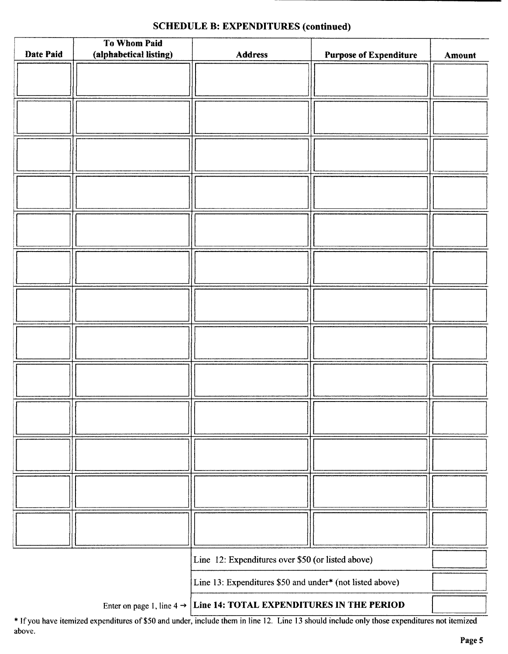|                  | <b>To Whom Paid</b>    |                                                          |                               |        |
|------------------|------------------------|----------------------------------------------------------|-------------------------------|--------|
| <b>Date Paid</b> | (alphabetical listing) | <b>Address</b>                                           | <b>Purpose of Expenditure</b> | Amount |
|                  |                        |                                                          |                               |        |
|                  |                        |                                                          |                               |        |
|                  |                        |                                                          |                               |        |
|                  |                        |                                                          |                               |        |
|                  |                        |                                                          |                               |        |
|                  |                        |                                                          |                               |        |
|                  |                        |                                                          |                               |        |
|                  |                        |                                                          |                               |        |
|                  |                        |                                                          |                               |        |
|                  |                        |                                                          |                               |        |
|                  |                        |                                                          |                               |        |
|                  |                        |                                                          |                               |        |
|                  |                        |                                                          |                               |        |
|                  |                        |                                                          |                               |        |
|                  |                        |                                                          |                               |        |
|                  |                        |                                                          |                               |        |
|                  |                        |                                                          |                               |        |
|                  |                        |                                                          |                               |        |
|                  |                        |                                                          |                               |        |
|                  |                        |                                                          |                               |        |
|                  |                        |                                                          |                               |        |
|                  |                        |                                                          |                               |        |
|                  |                        |                                                          |                               |        |
|                  |                        |                                                          |                               |        |
|                  |                        |                                                          |                               |        |
|                  |                        |                                                          |                               |        |
|                  |                        |                                                          |                               |        |
|                  |                        |                                                          |                               |        |
|                  |                        |                                                          |                               |        |
|                  |                        |                                                          |                               |        |
|                  |                        |                                                          |                               |        |
|                  |                        |                                                          |                               |        |
|                  |                        |                                                          |                               |        |
|                  |                        |                                                          |                               |        |
|                  |                        |                                                          |                               |        |
|                  |                        |                                                          |                               |        |
|                  |                        |                                                          |                               |        |
|                  |                        |                                                          |                               |        |
|                  |                        |                                                          |                               |        |
|                  |                        |                                                          |                               |        |
|                  |                        | Line 12: Expenditures over \$50 (or listed above)        |                               |        |
|                  |                        |                                                          |                               |        |
|                  |                        | Line 13: Expenditures \$50 and under* (not listed above) |                               |        |
|                  |                        |                                                          |                               |        |

### SCHEDULE B: EXPENDITURES (continued)

Enter on page 1, line  $4 \rightarrow$  Line 14: TOTAL EXPENDITURES IN THE PERIOD

If you have itemized expenditures of\$50 and under, include them in line 12. Line <sup>13</sup> should include only those expenditures not itemized above.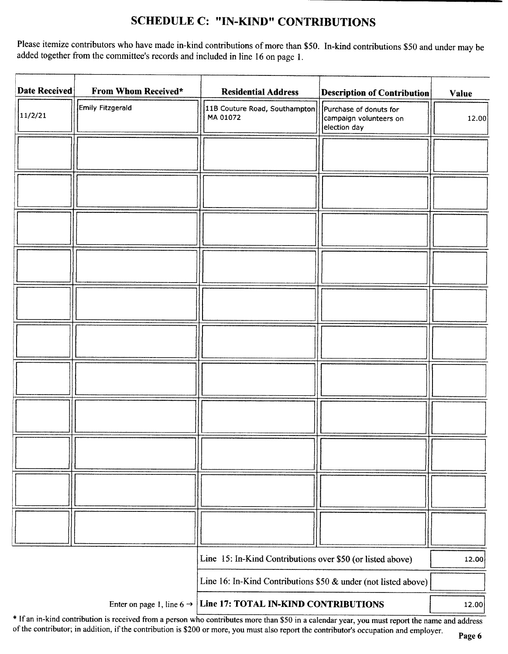# SCHEDULE C: "IN-KIND" CONTRIBUTIONS

Please itemize contributors who have made in-kind contributions of more than \$50. In-kind contributions \$50 and under may be added together from the committee's records and included in line 16 on page 1.

| <b>Date Received</b> | From Whom Received*                   | <b>Residential Address</b>                                     | <b>Description of Contribution</b>                               | <b>Value</b> |
|----------------------|---------------------------------------|----------------------------------------------------------------|------------------------------------------------------------------|--------------|
| 11/2/21              | Emily Fitzgerald                      | 11B Couture Road, Southampton<br>MA 01072                      | Purchase of donuts for<br>campaign volunteers on<br>election day | 12.00        |
|                      |                                       |                                                                |                                                                  |              |
|                      |                                       |                                                                |                                                                  |              |
|                      |                                       |                                                                |                                                                  |              |
|                      |                                       |                                                                |                                                                  |              |
|                      |                                       |                                                                |                                                                  |              |
|                      |                                       |                                                                |                                                                  |              |
|                      |                                       |                                                                |                                                                  |              |
|                      |                                       |                                                                |                                                                  |              |
|                      |                                       |                                                                |                                                                  |              |
|                      |                                       |                                                                |                                                                  |              |
|                      |                                       |                                                                |                                                                  |              |
|                      |                                       | Line 15: In-Kind Contributions over \$50 (or listed above)     |                                                                  | 12,00        |
|                      |                                       | Line 16: In-Kind Contributions \$50 & under (not listed above) |                                                                  |              |
|                      | Enter on page 1, line 6 $\rightarrow$ | Line 17: TOTAL IN-KIND CONTRIBUTIONS                           |                                                                  | 12.00        |

\* If an in-kind contribution is received from a person who contributes more than \$50 in a calendar year, you must report the name and address of the contributor; in addition, if the contribution is \$200 or more, you must also report the contributor's occupation and employer.